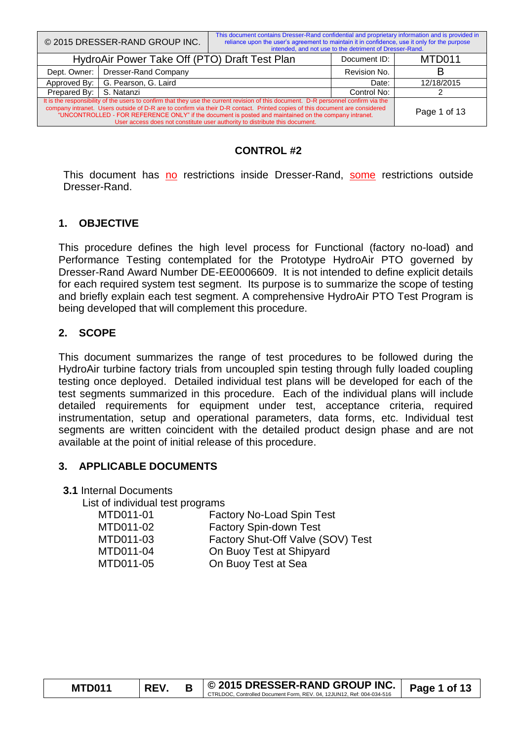|                                                                                                                                                                                                                                                                                                                                                                             | © 2015 DRESSER-RAND GROUP INC. | This document contains Dresser-Rand confidential and proprietary information and is provided in<br>reliance upon the user's agreement to maintain it in confidence, use it only for the purpose | intended, and not use to the detriment of Dresser-Rand. |            |
|-----------------------------------------------------------------------------------------------------------------------------------------------------------------------------------------------------------------------------------------------------------------------------------------------------------------------------------------------------------------------------|--------------------------------|-------------------------------------------------------------------------------------------------------------------------------------------------------------------------------------------------|---------------------------------------------------------|------------|
| HydroAir Power Take Off (PTO) Draft Test Plan                                                                                                                                                                                                                                                                                                                               |                                |                                                                                                                                                                                                 | Document ID:                                            | MTD011     |
| Dept. Owner:                                                                                                                                                                                                                                                                                                                                                                | Dresser-Rand Company           |                                                                                                                                                                                                 | Revision No.                                            | В          |
| Approved By:                                                                                                                                                                                                                                                                                                                                                                | G. Pearson, G. Laird           |                                                                                                                                                                                                 | Date:                                                   | 12/18/2015 |
| Prepared By:                                                                                                                                                                                                                                                                                                                                                                | S. Natanzi                     |                                                                                                                                                                                                 |                                                         |            |
| It is the responsibility of the users to confirm that they use the current revision of this document. D-R personnel confirm via the<br>company intranet. Users outside of D-R are to confirm via their D-R contact. Printed copies of this document are considered<br>"UNCONTROLLED - FOR REFERENCE ONLY" if the document is posted and maintained on the company intranet. | Page 1 of 13                   |                                                                                                                                                                                                 |                                                         |            |

#### **CONTROL #2**

This document has no restrictions inside Dresser-Rand, some restrictions outside Dresser-Rand.

## **1. OBJECTIVE**

This procedure defines the high level process for Functional (factory no-load) and Performance Testing contemplated for the Prototype HydroAir PTO governed by Dresser-Rand Award Number DE-EE0006609. It is not intended to define explicit details for each required system test segment. Its purpose is to summarize the scope of testing and briefly explain each test segment. A comprehensive HydroAir PTO Test Program is being developed that will complement this procedure.

## **2. SCOPE**

This document summarizes the range of test procedures to be followed during the HydroAir turbine factory trials from uncoupled spin testing through fully loaded coupling testing once deployed. Detailed individual test plans will be developed for each of the test segments summarized in this procedure. Each of the individual plans will include detailed requirements for equipment under test, acceptance criteria, required instrumentation, setup and operational parameters, data forms, etc. Individual test segments are written coincident with the detailed product design phase and are not available at the point of initial release of this procedure.

## **3. APPLICABLE DOCUMENTS**

#### **3.1** Internal Documents

List of individual test programs

| MTD011-01 | <b>Factory No-Load Spin Test</b>  |
|-----------|-----------------------------------|
| MTD011-02 | <b>Factory Spin-down Test</b>     |
| MTD011-03 | Factory Shut-Off Valve (SOV) Test |
| MTD011-04 | On Buoy Test at Shipyard          |
| MTD011-05 | On Buoy Test at Sea               |
|           |                                   |

| <b>MTD011</b> | <b>REV</b> | $\circ$ 2015 DRESSER-RAND GROUP INC. $\circ$ Page 1 of 13             |  |
|---------------|------------|-----------------------------------------------------------------------|--|
|               |            | CTRLDOC, Controlled Document Form, REV, 04, 12JUN12, Ref: 004-034-516 |  |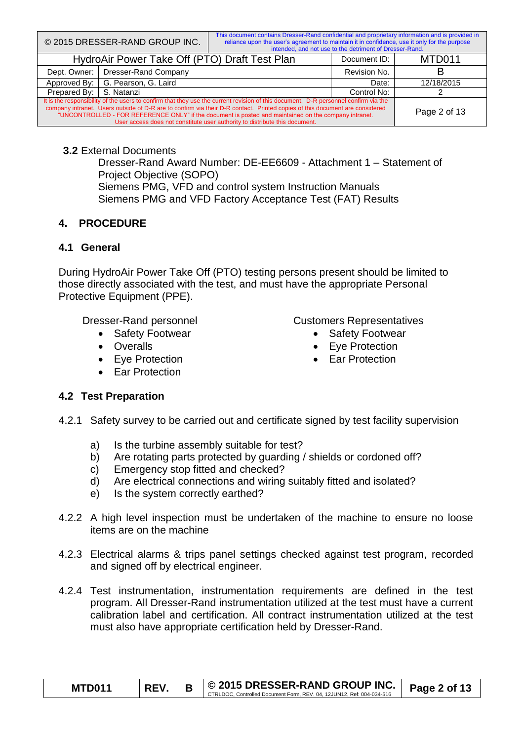|                                                                                                                                                                                                                                                                                                                                                                             | © 2015 DRESSER-RAND GROUP INC. | This document contains Dresser-Rand confidential and proprietary information and is provided in<br>reliance upon the user's agreement to maintain it in confidence, use it only for the purpose | intended, and not use to the detriment of Dresser-Rand. |            |
|-----------------------------------------------------------------------------------------------------------------------------------------------------------------------------------------------------------------------------------------------------------------------------------------------------------------------------------------------------------------------------|--------------------------------|-------------------------------------------------------------------------------------------------------------------------------------------------------------------------------------------------|---------------------------------------------------------|------------|
| HydroAir Power Take Off (PTO) Draft Test Plan                                                                                                                                                                                                                                                                                                                               |                                |                                                                                                                                                                                                 | Document ID:                                            | MTD011     |
| Dresser-Rand Company<br>Dept. Owner:                                                                                                                                                                                                                                                                                                                                        |                                |                                                                                                                                                                                                 | Revision No.                                            |            |
| Approved By:                                                                                                                                                                                                                                                                                                                                                                | G. Pearson, G. Laird           |                                                                                                                                                                                                 | Date:                                                   | 12/18/2015 |
| Prepared By:                                                                                                                                                                                                                                                                                                                                                                | S. Natanzi                     |                                                                                                                                                                                                 |                                                         |            |
| It is the responsibility of the users to confirm that they use the current revision of this document. D-R personnel confirm via the<br>company intranet. Users outside of D-R are to confirm via their D-R contact. Printed copies of this document are considered<br>"UNCONTROLLED - FOR REFERENCE ONLY" if the document is posted and maintained on the company intranet. | Page 2 of 13                   |                                                                                                                                                                                                 |                                                         |            |

#### **3.2** External Documents

Dresser-Rand Award Number: DE-EE6609 - Attachment 1 – Statement of Project Objective (SOPO) Siemens PMG, VFD and control system Instruction Manuals Siemens PMG and VFD Factory Acceptance Test (FAT) Results

## **4. PROCEDURE**

## **4.1 General**

During HydroAir Power Take Off (PTO) testing persons present should be limited to those directly associated with the test, and must have the appropriate Personal Protective Equipment (PPE).

Dresser-Rand personnel

- Safety Footwear
- Overalls
- Eye Protection
- Far Protection

Customers Representatives

- Safety Footwear
- Eve Protection
- Ear Protection

## **4.2 Test Preparation**

- 4.2.1 Safety survey to be carried out and certificate signed by test facility supervision
	- a) Is the turbine assembly suitable for test?
	- b) Are rotating parts protected by guarding / shields or cordoned off?
	- c) Emergency stop fitted and checked?
	- d) Are electrical connections and wiring suitably fitted and isolated?
	- e) Is the system correctly earthed?
- 4.2.2 A high level inspection must be undertaken of the machine to ensure no loose items are on the machine
- 4.2.3 Electrical alarms & trips panel settings checked against test program, recorded and signed off by electrical engineer.
- 4.2.4 Test instrumentation, instrumentation requirements are defined in the test program. All Dresser-Rand instrumentation utilized at the test must have a current calibration label and certification. All contract instrumentation utilized at the test must also have appropriate certification held by Dresser-Rand.

| <b>MTD011</b> | <b>REV</b> | │ © 2015 DRESSER-RAND GROUP INC. │<br>CTRLDOC. Controlled Document Form, REV, 04, 12JUN12, Ref: 004-034-516 | Page 2 of 13 |
|---------------|------------|-------------------------------------------------------------------------------------------------------------|--------------|
|               |            |                                                                                                             |              |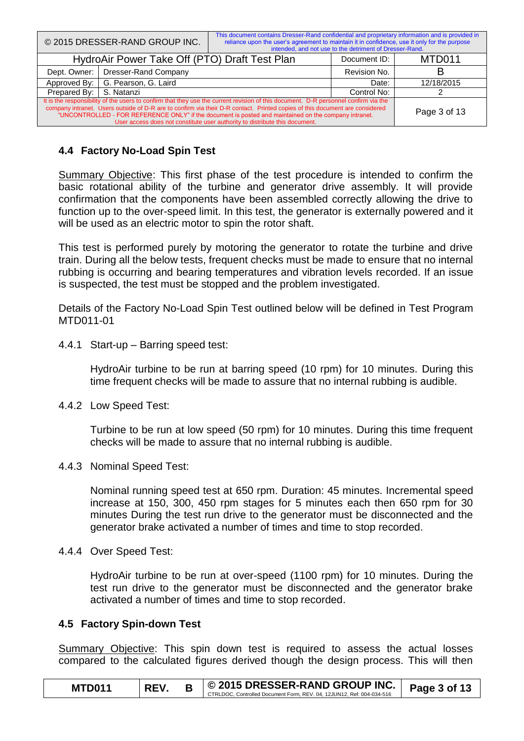|                                                                                                                                                                                                                                                                                                                                                                             | © 2015 DRESSER-RAND GROUP INC. | This document contains Dresser-Rand confidential and proprietary information and is provided in<br>reliance upon the user's agreement to maintain it in confidence, use it only for the purpose<br>intended, and not use to the detriment of Dresser-Rand. |              |        |
|-----------------------------------------------------------------------------------------------------------------------------------------------------------------------------------------------------------------------------------------------------------------------------------------------------------------------------------------------------------------------------|--------------------------------|------------------------------------------------------------------------------------------------------------------------------------------------------------------------------------------------------------------------------------------------------------|--------------|--------|
| HydroAir Power Take Off (PTO) Draft Test Plan                                                                                                                                                                                                                                                                                                                               |                                |                                                                                                                                                                                                                                                            | Document ID: | MTD011 |
| Dept. Owner:                                                                                                                                                                                                                                                                                                                                                                | Dresser-Rand Company           |                                                                                                                                                                                                                                                            | Revision No. |        |
| Approved By:                                                                                                                                                                                                                                                                                                                                                                | G. Pearson, G. Laird           | Date:                                                                                                                                                                                                                                                      | 12/18/2015   |        |
| Prepared By:<br>S. Natanzi                                                                                                                                                                                                                                                                                                                                                  |                                |                                                                                                                                                                                                                                                            | Control No:  |        |
| It is the responsibility of the users to confirm that they use the current revision of this document. D-R personnel confirm via the<br>company intranet. Users outside of D-R are to confirm via their D-R contact. Printed copies of this document are considered<br>"UNCONTROLLED - FOR REFERENCE ONLY" if the document is posted and maintained on the company intranet. | Page 3 of 13                   |                                                                                                                                                                                                                                                            |              |        |

## **4.4 Factory No-Load Spin Test**

Summary Objective: This first phase of the test procedure is intended to confirm the basic rotational ability of the turbine and generator drive assembly. It will provide confirmation that the components have been assembled correctly allowing the drive to function up to the over-speed limit. In this test, the generator is externally powered and it will be used as an electric motor to spin the rotor shaft.

This test is performed purely by motoring the generator to rotate the turbine and drive train. During all the below tests, frequent checks must be made to ensure that no internal rubbing is occurring and bearing temperatures and vibration levels recorded. If an issue is suspected, the test must be stopped and the problem investigated.

Details of the Factory No-Load Spin Test outlined below will be defined in Test Program MTD011-01

4.4.1 Start-up – Barring speed test:

HydroAir turbine to be run at barring speed (10 rpm) for 10 minutes. During this time frequent checks will be made to assure that no internal rubbing is audible.

4.4.2 Low Speed Test:

Turbine to be run at low speed (50 rpm) for 10 minutes. During this time frequent checks will be made to assure that no internal rubbing is audible.

4.4.3 Nominal Speed Test:

Nominal running speed test at 650 rpm. Duration: 45 minutes. Incremental speed increase at 150, 300, 450 rpm stages for 5 minutes each then 650 rpm for 30 minutes During the test run drive to the generator must be disconnected and the generator brake activated a number of times and time to stop recorded.

4.4.4 Over Speed Test:

HydroAir turbine to be run at over-speed (1100 rpm) for 10 minutes. During the test run drive to the generator must be disconnected and the generator brake activated a number of times and time to stop recorded.

#### **4.5 Factory Spin-down Test**

Summary Objective: This spin down test is required to assess the actual losses compared to the calculated figures derived though the design process. This will then

| <b>MTD011</b> | <b>REV</b> | $\leq$   © 2015 DRESSER-RAND GROUP INC.   Page 3 of 13                |  |
|---------------|------------|-----------------------------------------------------------------------|--|
|               |            | CTRLDOC, Controlled Document Form, REV, 04, 12JUN12, Ref: 004-034-516 |  |
|               |            |                                                                       |  |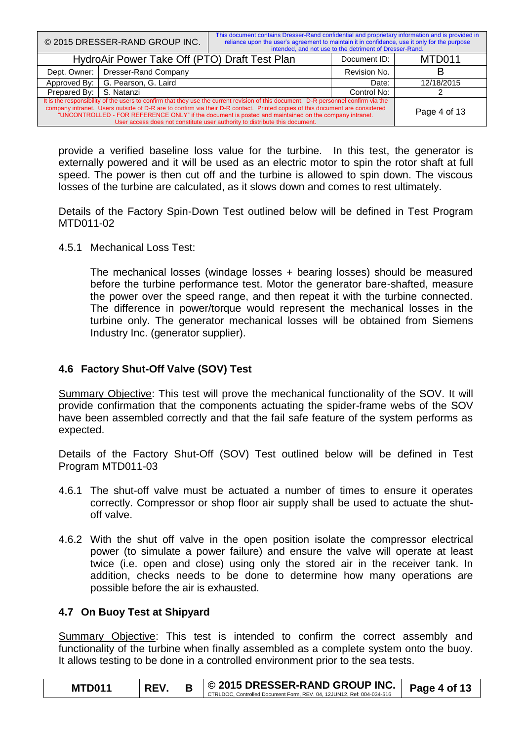|                                                                                                                                                                                                                                                                                                                                                                             | © 2015 DRESSER-RAND GROUP INC.                | This document contains Dresser-Rand confidential and proprietary information and is provided in<br>reliance upon the user's agreement to maintain it in confidence, use it only for the purpose<br>intended, and not use to the detriment of Dresser-Rand. |              |            |
|-----------------------------------------------------------------------------------------------------------------------------------------------------------------------------------------------------------------------------------------------------------------------------------------------------------------------------------------------------------------------------|-----------------------------------------------|------------------------------------------------------------------------------------------------------------------------------------------------------------------------------------------------------------------------------------------------------------|--------------|------------|
|                                                                                                                                                                                                                                                                                                                                                                             | HydroAir Power Take Off (PTO) Draft Test Plan |                                                                                                                                                                                                                                                            | Document ID: | MTD011     |
| Dept. Owner:                                                                                                                                                                                                                                                                                                                                                                | Dresser-Rand Company                          |                                                                                                                                                                                                                                                            | Revision No. |            |
| Approved By:                                                                                                                                                                                                                                                                                                                                                                | G. Pearson, G. Laird                          |                                                                                                                                                                                                                                                            | Date:        | 12/18/2015 |
| Prepared By:                                                                                                                                                                                                                                                                                                                                                                | S. Natanzi                                    | Control No:                                                                                                                                                                                                                                                |              |            |
| It is the responsibility of the users to confirm that they use the current revision of this document. D-R personnel confirm via the<br>company intranet. Users outside of D-R are to confirm via their D-R contact. Printed copies of this document are considered<br>"UNCONTROLLED - FOR REFERENCE ONLY" if the document is posted and maintained on the company intranet. | Page 4 of 13                                  |                                                                                                                                                                                                                                                            |              |            |

provide a verified baseline loss value for the turbine. In this test, the generator is externally powered and it will be used as an electric motor to spin the rotor shaft at full speed. The power is then cut off and the turbine is allowed to spin down. The viscous losses of the turbine are calculated, as it slows down and comes to rest ultimately.

Details of the Factory Spin-Down Test outlined below will be defined in Test Program MTD011-02

4.5.1 Mechanical Loss Test:

The mechanical losses (windage losses + bearing losses) should be measured before the turbine performance test. Motor the generator bare-shafted, measure the power over the speed range, and then repeat it with the turbine connected. The difference in power/torque would represent the mechanical losses in the turbine only. The generator mechanical losses will be obtained from Siemens Industry Inc. (generator supplier).

#### **4.6 Factory Shut-Off Valve (SOV) Test**

Summary Objective: This test will prove the mechanical functionality of the SOV. It will provide confirmation that the components actuating the spider-frame webs of the SOV have been assembled correctly and that the fail safe feature of the system performs as expected.

Details of the Factory Shut-Off (SOV) Test outlined below will be defined in Test Program MTD011-03

- 4.6.1 The shut-off valve must be actuated a number of times to ensure it operates correctly. Compressor or shop floor air supply shall be used to actuate the shutoff valve.
- 4.6.2 With the shut off valve in the open position isolate the compressor electrical power (to simulate a power failure) and ensure the valve will operate at least twice (i.e. open and close) using only the stored air in the receiver tank. In addition, checks needs to be done to determine how many operations are possible before the air is exhausted.

#### **4.7 On Buoy Test at Shipyard**

Summary Objective: This test is intended to confirm the correct assembly and functionality of the turbine when finally assembled as a complete system onto the buoy. It allows testing to be done in a controlled environment prior to the sea tests.

| <b>MTD011</b> | <b>REV</b> | $\circ$ 2015 DRESSER-RAND GROUP INC.<br>CTRLDOC, Controlled Document Form, REV, 04, 12JUN12, Ref: 004-034-516 | Page 4 of 13 |
|---------------|------------|---------------------------------------------------------------------------------------------------------------|--------------|
|               |            |                                                                                                               |              |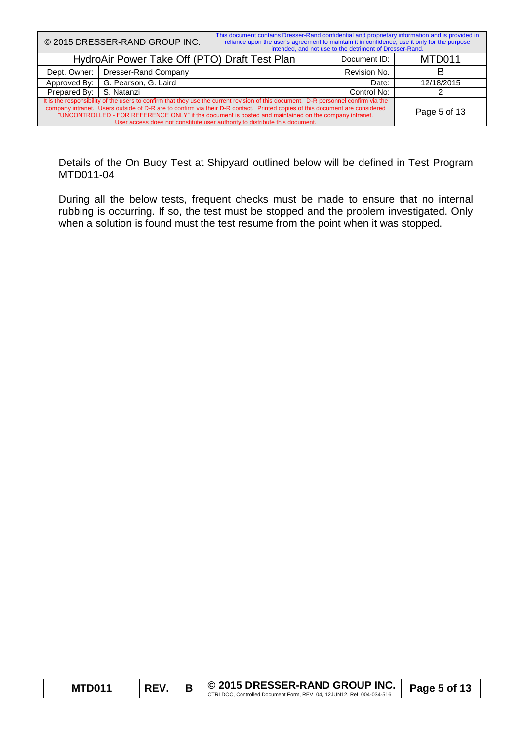|                                                                                                                                                                                                                                                                                                                                                                             | © 2015 DRESSER-RAND GROUP INC. | This document contains Dresser-Rand confidential and proprietary information and is provided in<br>reliance upon the user's agreement to maintain it in confidence, use it only for the purpose<br>intended, and not use to the detriment of Dresser-Rand. |              |            |
|-----------------------------------------------------------------------------------------------------------------------------------------------------------------------------------------------------------------------------------------------------------------------------------------------------------------------------------------------------------------------------|--------------------------------|------------------------------------------------------------------------------------------------------------------------------------------------------------------------------------------------------------------------------------------------------------|--------------|------------|
| HydroAir Power Take Off (PTO) Draft Test Plan                                                                                                                                                                                                                                                                                                                               |                                |                                                                                                                                                                                                                                                            | Document ID: | MTD011     |
| Dept. Owner:                                                                                                                                                                                                                                                                                                                                                                | Dresser-Rand Company           |                                                                                                                                                                                                                                                            | Revision No. |            |
| Approved By:                                                                                                                                                                                                                                                                                                                                                                | G. Pearson, G. Laird           |                                                                                                                                                                                                                                                            |              | 12/18/2015 |
| S. Natanzi<br>Prepared By:                                                                                                                                                                                                                                                                                                                                                  |                                |                                                                                                                                                                                                                                                            | Control No:  |            |
| It is the responsibility of the users to confirm that they use the current revision of this document. D-R personnel confirm via the<br>company intranet. Users outside of D-R are to confirm via their D-R contact. Printed copies of this document are considered<br>"UNCONTROLLED - FOR REFERENCE ONLY" if the document is posted and maintained on the company intranet. | Page 5 of 13                   |                                                                                                                                                                                                                                                            |              |            |

Details of the On Buoy Test at Shipyard outlined below will be defined in Test Program MTD011-04

During all the below tests, frequent checks must be made to ensure that no internal rubbing is occurring. If so, the test must be stopped and the problem investigated. Only when a solution is found must the test resume from the point when it was stopped.

| <b>MTD011</b> | <b>REV</b> | │ © 2015 DRESSER-RAND GROUP INC.                                      | Page 5 of 13 |
|---------------|------------|-----------------------------------------------------------------------|--------------|
|               |            | CTRLDOC. Controlled Document Form, REV, 04, 12JUN12, Ref: 004-034-516 |              |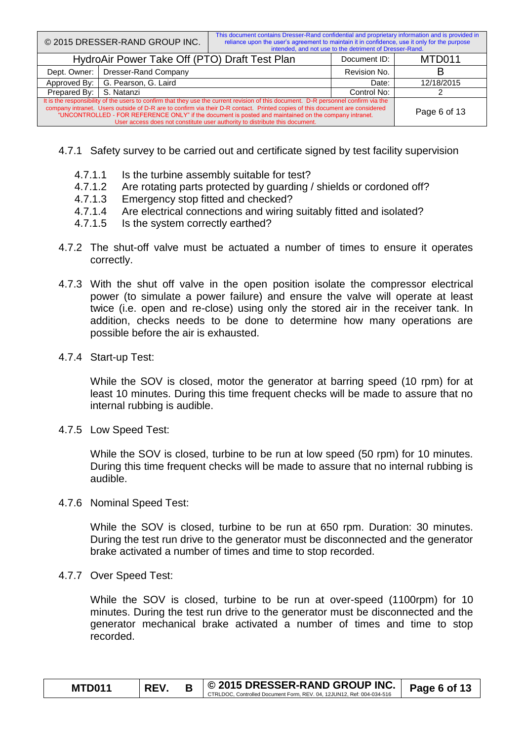|                                                                                                                                                                                                                                                                                                                                                                             | © 2015 DRESSER-RAND GROUP INC. | This document contains Dresser-Rand confidential and proprietary information and is provided in<br>reliance upon the user's agreement to maintain it in confidence, use it only for the purpose<br>intended, and not use to the detriment of Dresser-Rand. |              |        |
|-----------------------------------------------------------------------------------------------------------------------------------------------------------------------------------------------------------------------------------------------------------------------------------------------------------------------------------------------------------------------------|--------------------------------|------------------------------------------------------------------------------------------------------------------------------------------------------------------------------------------------------------------------------------------------------------|--------------|--------|
| HydroAir Power Take Off (PTO) Draft Test Plan                                                                                                                                                                                                                                                                                                                               |                                |                                                                                                                                                                                                                                                            | Document ID: | MTD011 |
| Dept. Owner:                                                                                                                                                                                                                                                                                                                                                                | <b>Dresser-Rand Company</b>    |                                                                                                                                                                                                                                                            | Revision No. |        |
| Approved By:                                                                                                                                                                                                                                                                                                                                                                | G. Pearson, G. Laird           | Date:                                                                                                                                                                                                                                                      | 12/18/2015   |        |
| Prepared By:<br>S. Natanzi                                                                                                                                                                                                                                                                                                                                                  |                                |                                                                                                                                                                                                                                                            | Control No:  |        |
| It is the responsibility of the users to confirm that they use the current revision of this document. D-R personnel confirm via the<br>company intranet. Users outside of D-R are to confirm via their D-R contact. Printed copies of this document are considered<br>"UNCONTROLLED - FOR REFERENCE ONLY" if the document is posted and maintained on the company intranet. | Page 6 of 13                   |                                                                                                                                                                                                                                                            |              |        |

- 4.7.1 Safety survey to be carried out and certificate signed by test facility supervision
	- 4.7.1.1 Is the turbine assembly suitable for test?
	- 4.7.1.2 Are rotating parts protected by guarding / shields or cordoned off?
	- 4.7.1.3 Emergency stop fitted and checked?
	- 4.7.1.4 Are electrical connections and wiring suitably fitted and isolated?
	- 4.7.1.5 Is the system correctly earthed?
- 4.7.2 The shut-off valve must be actuated a number of times to ensure it operates correctly.
- 4.7.3 With the shut off valve in the open position isolate the compressor electrical power (to simulate a power failure) and ensure the valve will operate at least twice (i.e. open and re-close) using only the stored air in the receiver tank. In addition, checks needs to be done to determine how many operations are possible before the air is exhausted.
- 4.7.4 Start-up Test:

While the SOV is closed, motor the generator at barring speed (10 rpm) for at least 10 minutes. During this time frequent checks will be made to assure that no internal rubbing is audible.

4.7.5 Low Speed Test:

While the SOV is closed, turbine to be run at low speed (50 rpm) for 10 minutes. During this time frequent checks will be made to assure that no internal rubbing is audible.

4.7.6 Nominal Speed Test:

While the SOV is closed, turbine to be run at 650 rpm. Duration: 30 minutes. During the test run drive to the generator must be disconnected and the generator brake activated a number of times and time to stop recorded.

4.7.7 Over Speed Test:

While the SOV is closed, turbine to be run at over-speed (1100rpm) for 10 minutes. During the test run drive to the generator must be disconnected and the generator mechanical brake activated a number of times and time to stop recorded.

| <b>MTD011</b> | <b>REV</b> | $\circ$ 2015 DRESSER-RAND GROUP INC. $\circ$ Page 6 of 13<br>CTRLDOC, Controlled Document Form, REV, 04, 12JUN12, Ref: 004-034-516 |  |
|---------------|------------|------------------------------------------------------------------------------------------------------------------------------------|--|
|               |            |                                                                                                                                    |  |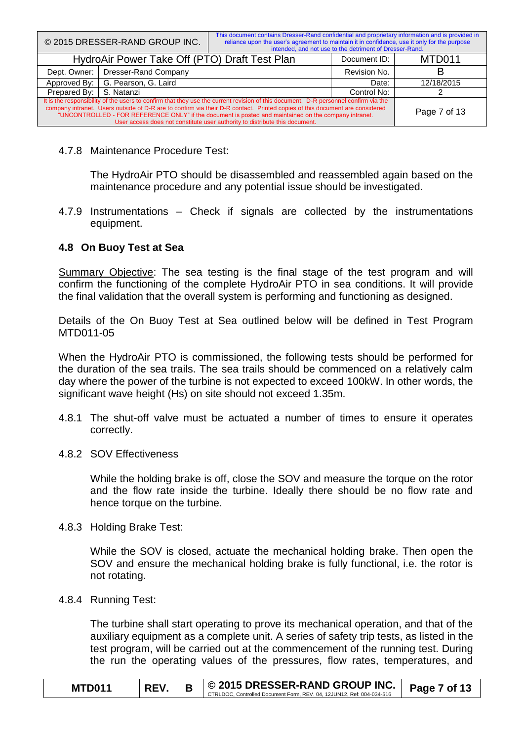|                                                                                                                                                                                                                                                                                                                                                                                                                                                            | © 2015 DRESSER-RAND GROUP INC.                | This document contains Dresser-Rand confidential and proprietary information and is provided in<br>reliance upon the user's agreement to maintain it in confidence, use it only for the purpose | intended, and not use to the detriment of Dresser-Rand. |              |
|------------------------------------------------------------------------------------------------------------------------------------------------------------------------------------------------------------------------------------------------------------------------------------------------------------------------------------------------------------------------------------------------------------------------------------------------------------|-----------------------------------------------|-------------------------------------------------------------------------------------------------------------------------------------------------------------------------------------------------|---------------------------------------------------------|--------------|
|                                                                                                                                                                                                                                                                                                                                                                                                                                                            | HydroAir Power Take Off (PTO) Draft Test Plan |                                                                                                                                                                                                 | Document ID:                                            | MTD011       |
| Dept. Owner:                                                                                                                                                                                                                                                                                                                                                                                                                                               | Dresser-Rand Company                          |                                                                                                                                                                                                 |                                                         |              |
| Approved By:                                                                                                                                                                                                                                                                                                                                                                                                                                               | G. Pearson, G. Laird                          | Date:                                                                                                                                                                                           | 12/18/2015                                              |              |
| Prepared By:                                                                                                                                                                                                                                                                                                                                                                                                                                               | S. Natanzi                                    |                                                                                                                                                                                                 |                                                         |              |
| It is the responsibility of the users to confirm that they use the current revision of this document. D-R personnel confirm via the<br>company intranet. Users outside of D-R are to confirm via their D-R contact. Printed copies of this document are considered<br>"UNCONTROLLED - FOR REFERENCE ONLY" if the document is posted and maintained on the company intranet.<br>User access does not constitute user authority to distribute this document. |                                               |                                                                                                                                                                                                 |                                                         | Page 7 of 13 |

4.7.8 Maintenance Procedure Test:

The HydroAir PTO should be disassembled and reassembled again based on the maintenance procedure and any potential issue should be investigated.

4.7.9 Instrumentations – Check if signals are collected by the instrumentations equipment.

#### **4.8 On Buoy Test at Sea**

Summary Objective: The sea testing is the final stage of the test program and will confirm the functioning of the complete HydroAir PTO in sea conditions. It will provide the final validation that the overall system is performing and functioning as designed.

Details of the On Buoy Test at Sea outlined below will be defined in Test Program MTD011-05

When the HydroAir PTO is commissioned, the following tests should be performed for the duration of the sea trails. The sea trails should be commenced on a relatively calm day where the power of the turbine is not expected to exceed 100kW. In other words, the significant wave height (Hs) on site should not exceed 1.35m.

- 4.8.1 The shut-off valve must be actuated a number of times to ensure it operates correctly.
- 4.8.2 SOV Effectiveness

While the holding brake is off, close the SOV and measure the torque on the rotor and the flow rate inside the turbine. Ideally there should be no flow rate and hence torque on the turbine.

4.8.3 Holding Brake Test:

While the SOV is closed, actuate the mechanical holding brake. Then open the SOV and ensure the mechanical holding brake is fully functional, i.e. the rotor is not rotating.

4.8.4 Running Test:

The turbine shall start operating to prove its mechanical operation, and that of the auxiliary equipment as a complete unit. A series of safety trip tests, as listed in the test program, will be carried out at the commencement of the running test. During the run the operating values of the pressures, flow rates, temperatures, and

| <b>MTD011</b> | <b>REV</b> | │ © 2015 DRESSER-RAND GROUP INC. │                                    | Page 7 of 13 |
|---------------|------------|-----------------------------------------------------------------------|--------------|
|               |            | CTRLDOC, Controlled Document Form, REV, 04, 12JUN12, Ref: 004-034-516 |              |
|               |            |                                                                       |              |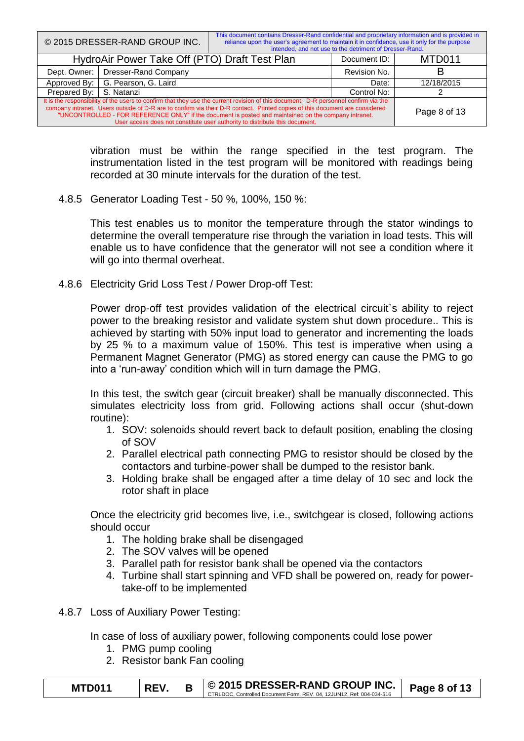|                                                                                                                                                                                                                                                                                                                                                                                                                                                            | © 2015 DRESSER-RAND GROUP INC.                | This document contains Dresser-Rand confidential and proprietary information and is provided in<br>reliance upon the user's agreement to maintain it in confidence, use it only for the purpose | intended, and not use to the detriment of Dresser-Rand. |              |
|------------------------------------------------------------------------------------------------------------------------------------------------------------------------------------------------------------------------------------------------------------------------------------------------------------------------------------------------------------------------------------------------------------------------------------------------------------|-----------------------------------------------|-------------------------------------------------------------------------------------------------------------------------------------------------------------------------------------------------|---------------------------------------------------------|--------------|
|                                                                                                                                                                                                                                                                                                                                                                                                                                                            | HydroAir Power Take Off (PTO) Draft Test Plan |                                                                                                                                                                                                 | Document ID:                                            | MTD011       |
| Dresser-Rand Company<br>Dept. Owner:                                                                                                                                                                                                                                                                                                                                                                                                                       |                                               |                                                                                                                                                                                                 | Revision No.                                            |              |
| Approved By:                                                                                                                                                                                                                                                                                                                                                                                                                                               | G. Pearson, G. Laird                          | Date:                                                                                                                                                                                           | 12/18/2015                                              |              |
| Prepared By:                                                                                                                                                                                                                                                                                                                                                                                                                                               | S. Natanzi                                    |                                                                                                                                                                                                 |                                                         |              |
| It is the responsibility of the users to confirm that they use the current revision of this document. D-R personnel confirm via the<br>company intranet. Users outside of D-R are to confirm via their D-R contact. Printed copies of this document are considered<br>"UNCONTROLLED - FOR REFERENCE ONLY" if the document is posted and maintained on the company intranet.<br>User access does not constitute user authority to distribute this document. |                                               |                                                                                                                                                                                                 |                                                         | Page 8 of 13 |

vibration must be within the range specified in the test program. The instrumentation listed in the test program will be monitored with readings being recorded at 30 minute intervals for the duration of the test.

4.8.5 Generator Loading Test - 50 %, 100%, 150 %:

This test enables us to monitor the temperature through the stator windings to determine the overall temperature rise through the variation in load tests. This will enable us to have confidence that the generator will not see a condition where it will go into thermal overheat.

4.8.6 Electricity Grid Loss Test / Power Drop-off Test:

Power drop-off test provides validation of the electrical circuit's ability to reject power to the breaking resistor and validate system shut down procedure.. This is achieved by starting with 50% input load to generator and incrementing the loads by 25 % to a maximum value of 150%. This test is imperative when using a Permanent Magnet Generator (PMG) as stored energy can cause the PMG to go into a 'run-away' condition which will in turn damage the PMG.

In this test, the switch gear (circuit breaker) shall be manually disconnected. This simulates electricity loss from grid. Following actions shall occur (shut-down routine):

- 1. SOV: solenoids should revert back to default position, enabling the closing of SOV
- 2. Parallel electrical path connecting PMG to resistor should be closed by the contactors and turbine-power shall be dumped to the resistor bank.
- 3. Holding brake shall be engaged after a time delay of 10 sec and lock the rotor shaft in place

Once the electricity grid becomes live, i.e., switchgear is closed, following actions should occur

- 1. The holding brake shall be disengaged
- 2. The SOV valves will be opened
- 3. Parallel path for resistor bank shall be opened via the contactors
- 4. Turbine shall start spinning and VFD shall be powered on, ready for powertake-off to be implemented
- 4.8.7 Loss of Auxiliary Power Testing:

In case of loss of auxiliary power, following components could lose power

- 1. PMG pump cooling
- 2. Resistor bank Fan cooling

| <b>MTD011</b> | <b>REV</b> | © 2015 DRESSER-RAND GROUP INC.                                        | Page 8 of 13 |
|---------------|------------|-----------------------------------------------------------------------|--------------|
|               |            | CTRLDOC. Controlled Document Form, REV, 04, 12JUN12, Ref: 004-034-516 |              |
|               |            |                                                                       |              |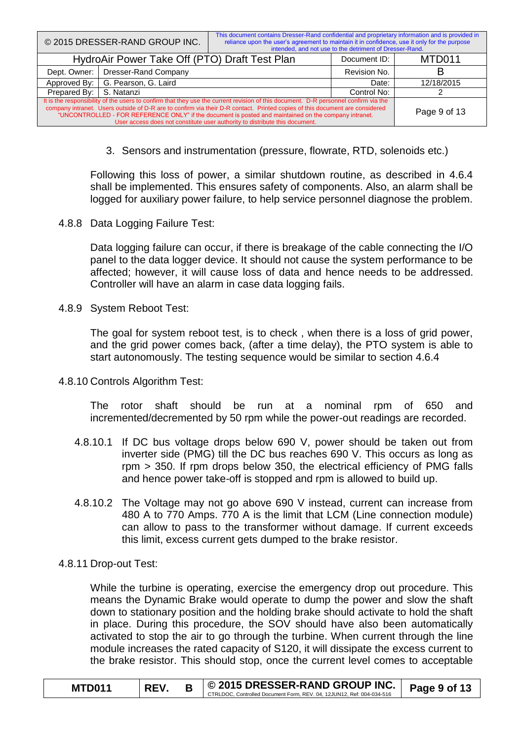|                                                                                                                                                                                                                                                                                                                                                                                                                                                            | © 2015 DRESSER-RAND GROUP INC.                | This document contains Dresser-Rand confidential and proprietary information and is provided in<br>reliance upon the user's agreement to maintain it in confidence, use it only for the purpose | intended, and not use to the detriment of Dresser-Rand. |              |
|------------------------------------------------------------------------------------------------------------------------------------------------------------------------------------------------------------------------------------------------------------------------------------------------------------------------------------------------------------------------------------------------------------------------------------------------------------|-----------------------------------------------|-------------------------------------------------------------------------------------------------------------------------------------------------------------------------------------------------|---------------------------------------------------------|--------------|
|                                                                                                                                                                                                                                                                                                                                                                                                                                                            | HydroAir Power Take Off (PTO) Draft Test Plan |                                                                                                                                                                                                 | Document ID:                                            | MTD011       |
| Dept. Owner:                                                                                                                                                                                                                                                                                                                                                                                                                                               | Dresser-Rand Company                          |                                                                                                                                                                                                 | Revision No.                                            |              |
| Approved By:                                                                                                                                                                                                                                                                                                                                                                                                                                               | G. Pearson, G. Laird                          |                                                                                                                                                                                                 | Date:                                                   | 12/18/2015   |
| Prepared By:                                                                                                                                                                                                                                                                                                                                                                                                                                               | S. Natanzi                                    |                                                                                                                                                                                                 | Control No:                                             |              |
| It is the responsibility of the users to confirm that they use the current revision of this document. D-R personnel confirm via the<br>company intranet. Users outside of D-R are to confirm via their D-R contact. Printed copies of this document are considered<br>"UNCONTROLLED - FOR REFERENCE ONLY" if the document is posted and maintained on the company intranet.<br>User access does not constitute user authority to distribute this document. |                                               |                                                                                                                                                                                                 |                                                         | Page 9 of 13 |

3. Sensors and instrumentation (pressure, flowrate, RTD, solenoids etc.)

Following this loss of power, a similar shutdown routine, as described in 4.6.4 shall be implemented. This ensures safety of components. Also, an alarm shall be logged for auxiliary power failure, to help service personnel diagnose the problem.

4.8.8 Data Logging Failure Test:

Data logging failure can occur, if there is breakage of the cable connecting the I/O panel to the data logger device. It should not cause the system performance to be affected; however, it will cause loss of data and hence needs to be addressed. Controller will have an alarm in case data logging fails.

4.8.9 System Reboot Test:

The goal for system reboot test, is to check , when there is a loss of grid power, and the grid power comes back, (after a time delay), the PTO system is able to start autonomously. The testing sequence would be similar to section 4.6.4

4.8.10 Controls Algorithm Test:

The rotor shaft should be run at a nominal rpm of 650 and incremented/decremented by 50 rpm while the power-out readings are recorded.

- 4.8.10.1 If DC bus voltage drops below 690 V, power should be taken out from inverter side (PMG) till the DC bus reaches 690 V. This occurs as long as rpm > 350. If rpm drops below 350, the electrical efficiency of PMG falls and hence power take-off is stopped and rpm is allowed to build up.
- 4.8.10.2 The Voltage may not go above 690 V instead, current can increase from 480 A to 770 Amps. 770 A is the limit that LCM (Line connection module) can allow to pass to the transformer without damage. If current exceeds this limit, excess current gets dumped to the brake resistor.
- 4.8.11 Drop-out Test:

While the turbine is operating, exercise the emergency drop out procedure. This means the Dynamic Brake would operate to dump the power and slow the shaft down to stationary position and the holding brake should activate to hold the shaft in place. During this procedure, the SOV should have also been automatically activated to stop the air to go through the turbine. When current through the line module increases the rated capacity of S120, it will dissipate the excess current to the brake resistor. This should stop, once the current level comes to acceptable

| MTD011 | <b>RFV</b> | $\vert\,\circledcirc$ 2015 DRESSER-RAND GROUP INC. $\vert\,\bullet$ page 9 of 13 |  |
|--------|------------|----------------------------------------------------------------------------------|--|
|        |            | CTRLDOC, Controlled Document Form, REV, 04, 12JUN12, Ref: 004-034-516            |  |
|        |            |                                                                                  |  |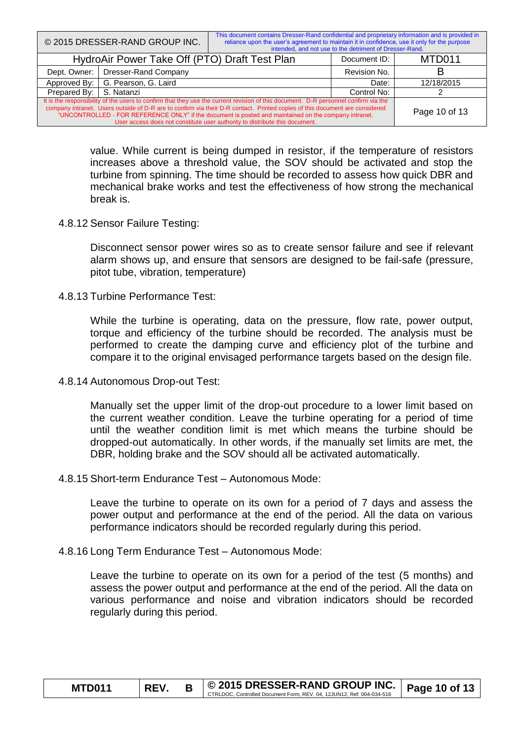|                                                                                                                                                                                                                                                                                                                                                                                                                                                            | © 2015 DRESSER-RAND GROUP INC.                | This document contains Dresser-Rand confidential and proprietary information and is provided in<br>reliance upon the user's agreement to maintain it in confidence, use it only for the purpose | intended, and not use to the detriment of Dresser-Rand. |               |
|------------------------------------------------------------------------------------------------------------------------------------------------------------------------------------------------------------------------------------------------------------------------------------------------------------------------------------------------------------------------------------------------------------------------------------------------------------|-----------------------------------------------|-------------------------------------------------------------------------------------------------------------------------------------------------------------------------------------------------|---------------------------------------------------------|---------------|
|                                                                                                                                                                                                                                                                                                                                                                                                                                                            | HydroAir Power Take Off (PTO) Draft Test Plan |                                                                                                                                                                                                 | Document ID:                                            | MTD011        |
| <b>Dresser-Rand Company</b><br>Dept. Owner:                                                                                                                                                                                                                                                                                                                                                                                                                |                                               |                                                                                                                                                                                                 | Revision No.                                            |               |
| Approved By:                                                                                                                                                                                                                                                                                                                                                                                                                                               | G. Pearson, G. Laird                          |                                                                                                                                                                                                 | Date:                                                   | 12/18/2015    |
| Prepared By:                                                                                                                                                                                                                                                                                                                                                                                                                                               | S. Natanzi                                    |                                                                                                                                                                                                 |                                                         |               |
| It is the responsibility of the users to confirm that they use the current revision of this document. D-R personnel confirm via the<br>company intranet. Users outside of D-R are to confirm via their D-R contact. Printed copies of this document are considered<br>"UNCONTROLLED - FOR REFERENCE ONLY" if the document is posted and maintained on the company intranet.<br>User access does not constitute user authority to distribute this document. |                                               |                                                                                                                                                                                                 |                                                         | Page 10 of 13 |

value. While current is being dumped in resistor, if the temperature of resistors increases above a threshold value, the SOV should be activated and stop the turbine from spinning. The time should be recorded to assess how quick DBR and mechanical brake works and test the effectiveness of how strong the mechanical break is.

4.8.12 Sensor Failure Testing:

Disconnect sensor power wires so as to create sensor failure and see if relevant alarm shows up, and ensure that sensors are designed to be fail-safe (pressure, pitot tube, vibration, temperature)

4.8.13 Turbine Performance Test:

While the turbine is operating, data on the pressure, flow rate, power output, torque and efficiency of the turbine should be recorded. The analysis must be performed to create the damping curve and efficiency plot of the turbine and compare it to the original envisaged performance targets based on the design file.

4.8.14 Autonomous Drop-out Test:

Manually set the upper limit of the drop-out procedure to a lower limit based on the current weather condition. Leave the turbine operating for a period of time until the weather condition limit is met which means the turbine should be dropped-out automatically. In other words, if the manually set limits are met, the DBR, holding brake and the SOV should all be activated automatically.

4.8.15 Short-term Endurance Test – Autonomous Mode:

Leave the turbine to operate on its own for a period of 7 days and assess the power output and performance at the end of the period. All the data on various performance indicators should be recorded regularly during this period.

4.8.16 Long Term Endurance Test – Autonomous Mode:

Leave the turbine to operate on its own for a period of the test (5 months) and assess the power output and performance at the end of the period. All the data on various performance and noise and vibration indicators should be recorded regularly during this period.

| <b>MTD011</b> | REV. | $\circ$ 2015 DRESSER-RAND GROUP INC. $\circ$ Page 10 of 13            |  |
|---------------|------|-----------------------------------------------------------------------|--|
|               |      | CTRLDOC, Controlled Document Form, REV, 04, 12JUN12, Ref: 004-034-516 |  |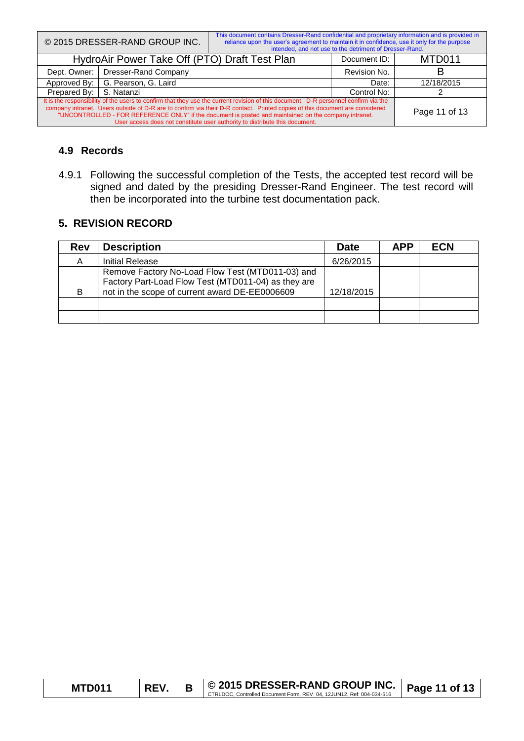|                                                                                                                                                                                                                                                                                                                                                                                                                                                            | © 2015 DRESSER-RAND GROUP INC.                | This document contains Dresser-Rand confidential and proprietary information and is provided in<br>reliance upon the user's agreement to maintain it in confidence, use it only for the purpose | intended, and not use to the detriment of Dresser-Rand. |               |
|------------------------------------------------------------------------------------------------------------------------------------------------------------------------------------------------------------------------------------------------------------------------------------------------------------------------------------------------------------------------------------------------------------------------------------------------------------|-----------------------------------------------|-------------------------------------------------------------------------------------------------------------------------------------------------------------------------------------------------|---------------------------------------------------------|---------------|
|                                                                                                                                                                                                                                                                                                                                                                                                                                                            | HydroAir Power Take Off (PTO) Draft Test Plan |                                                                                                                                                                                                 | Document ID:                                            | MTD011        |
| Dresser-Rand Company<br>Dept. Owner:                                                                                                                                                                                                                                                                                                                                                                                                                       |                                               |                                                                                                                                                                                                 | Revision No.                                            |               |
| Approved By:                                                                                                                                                                                                                                                                                                                                                                                                                                               | G. Pearson, G. Laird                          |                                                                                                                                                                                                 | Date:                                                   | 12/18/2015    |
| Prepared By:                                                                                                                                                                                                                                                                                                                                                                                                                                               | S. Natanzi                                    | Control No:                                                                                                                                                                                     |                                                         |               |
| It is the responsibility of the users to confirm that they use the current revision of this document. D-R personnel confirm via the<br>company intranet. Users outside of D-R are to confirm via their D-R contact. Printed copies of this document are considered<br>"UNCONTROLLED - FOR REFERENCE ONLY" if the document is posted and maintained on the company intranet.<br>User access does not constitute user authority to distribute this document. |                                               |                                                                                                                                                                                                 |                                                         | Page 11 of 13 |

#### **4.9 Records**

4.9.1 Following the successful completion of the Tests, the accepted test record will be signed and dated by the presiding Dresser-Rand Engineer. The test record will then be incorporated into the turbine test documentation pack.

## **5. REVISION RECORD**

| <b>Rev</b> | <b>Description</b>                                                                                                                                        | <b>Date</b> | <b>APP</b> | <b>ECN</b> |
|------------|-----------------------------------------------------------------------------------------------------------------------------------------------------------|-------------|------------|------------|
| A          | <b>Initial Release</b>                                                                                                                                    | 6/26/2015   |            |            |
| B          | Remove Factory No-Load Flow Test (MTD011-03) and<br>Factory Part-Load Flow Test (MTD011-04) as they are<br>not in the scope of current award DE-EE0006609 | 12/18/2015  |            |            |
|            |                                                                                                                                                           |             |            |            |
|            |                                                                                                                                                           |             |            |            |

| <b>MTD011</b> | <b>REV</b> |                                                              | $\vert\,\circledcirc$ 2015 DRESSER-RAND GROUP INC. $\vert$ Page 11 of 13 |  |
|---------------|------------|--------------------------------------------------------------|--------------------------------------------------------------------------|--|
|               |            | Controlled Document Form, REV, 04, 12JUN12, Ref: 004-034-516 |                                                                          |  |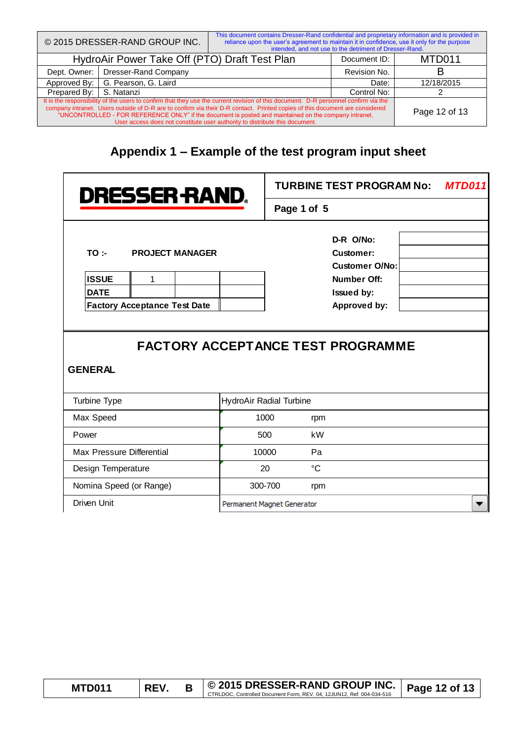| © 2015 DRESSER-RAND GROUP INC.                                                                                                                                                                                                                                                                                                                                                                                                                             |                      | This document contains Dresser-Rand confidential and proprietary information and is provided in<br>reliance upon the user's agreement to maintain it in confidence, use it only for the purpose<br>intended, and not use to the detriment of Dresser-Rand. |              |               |
|------------------------------------------------------------------------------------------------------------------------------------------------------------------------------------------------------------------------------------------------------------------------------------------------------------------------------------------------------------------------------------------------------------------------------------------------------------|----------------------|------------------------------------------------------------------------------------------------------------------------------------------------------------------------------------------------------------------------------------------------------------|--------------|---------------|
| HydroAir Power Take Off (PTO) Draft Test Plan                                                                                                                                                                                                                                                                                                                                                                                                              |                      |                                                                                                                                                                                                                                                            | Document ID: | MTD011        |
| Dept. Owner:                                                                                                                                                                                                                                                                                                                                                                                                                                               | Dresser-Rand Company |                                                                                                                                                                                                                                                            | Revision No. |               |
| Approved By:                                                                                                                                                                                                                                                                                                                                                                                                                                               | G. Pearson, G. Laird | Date:                                                                                                                                                                                                                                                      | 12/18/2015   |               |
| Prepared By:                                                                                                                                                                                                                                                                                                                                                                                                                                               | S. Natanzi           | Control No:                                                                                                                                                                                                                                                |              |               |
| It is the responsibility of the users to confirm that they use the current revision of this document. D-R personnel confirm via the<br>company intranet. Users outside of D-R are to confirm via their D-R contact. Printed copies of this document are considered<br>"UNCONTROLLED - FOR REFERENCE ONLY" if the document is posted and maintained on the company intranet.<br>User access does not constitute user authority to distribute this document. |                      |                                                                                                                                                                                                                                                            |              | Page 12 of 13 |

# **Appendix 1 – Example of the test program input sheet**

| <b>DRESSER RAND.</b>                                                                                                       | <b>TURBINE TEST PROGRAM No:</b><br>MTD011                                                                                                |
|----------------------------------------------------------------------------------------------------------------------------|------------------------------------------------------------------------------------------------------------------------------------------|
|                                                                                                                            | Page 1 of 5                                                                                                                              |
| TO:<br><b>PROJECT MANAGER</b><br><b>ISSUE</b><br>1<br><b>DATE</b><br><b>Factory Acceptance Test Date</b><br><b>GENERAL</b> | D-R O/No:<br>Customer:<br><b>Customer O/No:</b><br>Number Off:<br>Issued by:<br>Approved by:<br><b>FACTORY ACCEPTANCE TEST PROGRAMME</b> |
| Turbine Type                                                                                                               | HydroAir Radial Turbine                                                                                                                  |
| Max Speed                                                                                                                  | 1000<br>rpm                                                                                                                              |
| Power                                                                                                                      | 500<br>kW                                                                                                                                |
| Max Pressure Differential                                                                                                  | Pa<br>10000                                                                                                                              |
| Design Temperature                                                                                                         | $\rm ^{\circ}C$<br>20                                                                                                                    |
| Nomina Speed (or Range)                                                                                                    | 300-700<br>rpm                                                                                                                           |
| <b>Driven Unit</b>                                                                                                         | Permanent Magnet Generator                                                                                                               |

| <b>MTD011</b> | <b>REV</b> |                                                                       | $\mid$ © 2015 DRESSER-RAND GROUP INC. $\mid$ Page 12 of 13 |  |
|---------------|------------|-----------------------------------------------------------------------|------------------------------------------------------------|--|
|               |            | CTRLDOC, Controlled Document Form, REV, 04, 12JUN12, Ref: 004-034-516 |                                                            |  |